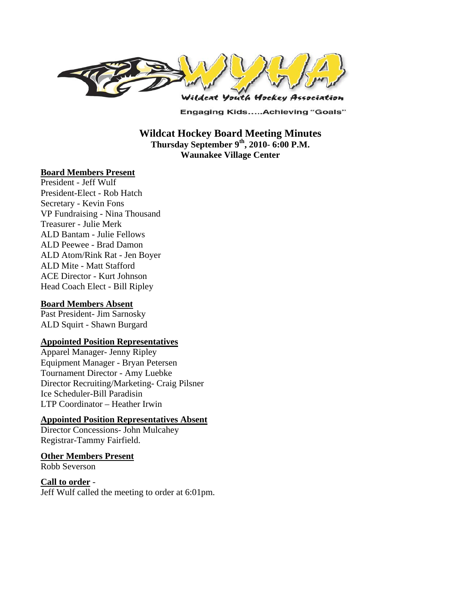

**Engaging Kids.....Achieving "Goals"** 

**Wildcat Hockey Board Meeting Minutes Thursday September 9th, 2010- 6:00 P.M. Waunakee Village Center** 

#### **Board Members Present**

President - Jeff Wulf President-Elect - Rob Hatch Secretary - Kevin Fons VP Fundraising - Nina Thousand Treasurer - Julie Merk ALD Bantam - Julie Fellows ALD Peewee - Brad Damon ALD Atom/Rink Rat - Jen Boyer ALD Mite - Matt Stafford ACE Director - Kurt Johnson Head Coach Elect - Bill Ripley

#### **Board Members Absent**

Past President- Jim Sarnosky ALD Squirt - Shawn Burgard

#### **Appointed Position Representatives**

Apparel Manager- Jenny Ripley Equipment Manager - Bryan Petersen Tournament Director - Amy Luebke Director Recruiting/Marketing- Craig Pilsner Ice Scheduler-Bill Paradisin LTP Coordinator – Heather Irwin

#### **Appointed Position Representatives Absent**

Director Concessions- John Mulcahey Registrar-Tammy Fairfield.

#### **Other Members Present**

Robb Severson

#### **Call to order** -

Jeff Wulf called the meeting to order at 6:01pm.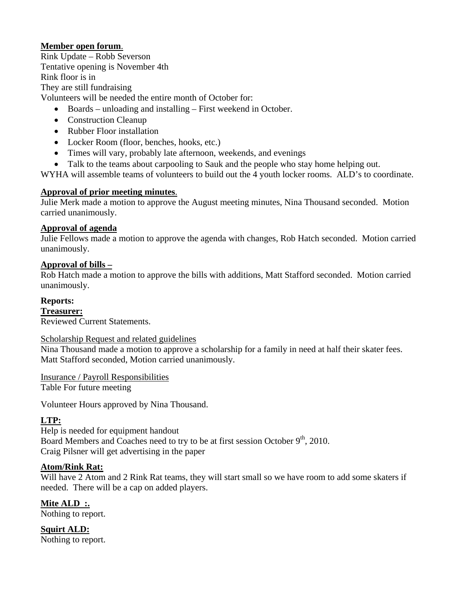## **Member open forum**.

Rink Update – Robb Severson Tentative opening is November 4th Rink floor is in They are still fundraising Volunteers will be needed the entire month of October for:

- Boards unloading and installing First weekend in October.
- Construction Cleanup
- Rubber Floor installation
- Locker Room (floor, benches, hooks, etc.)
- Times will vary, probably late afternoon, weekends, and evenings
- Talk to the teams about carpooling to Sauk and the people who stay home helping out.

WYHA will assemble teams of volunteers to build out the 4 youth locker rooms. ALD's to coordinate.

#### **Approval of prior meeting minutes**.

Julie Merk made a motion to approve the August meeting minutes, Nina Thousand seconded. Motion carried unanimously.

#### **Approval of agenda**

Julie Fellows made a motion to approve the agenda with changes, Rob Hatch seconded. Motion carried unanimously.

#### **Approval of bills –**

Rob Hatch made a motion to approve the bills with additions, Matt Stafford seconded. Motion carried unanimously.

## **Reports:**

**Treasurer:**  Reviewed Current Statements.

#### Scholarship Request and related guidelines

Nina Thousand made a motion to approve a scholarship for a family in need at half their skater fees. Matt Stafford seconded, Motion carried unanimously.

Insurance / Payroll Responsibilities

Table For future meeting

Volunteer Hours approved by Nina Thousand.

## **LTP:**

Help is needed for equipment handout Board Members and Coaches need to try to be at first session October  $9<sup>th</sup>$ , 2010. Craig Pilsner will get advertising in the paper

## **Atom/Rink Rat:**

Will have 2 Atom and 2 Rink Rat teams, they will start small so we have room to add some skaters if needed. There will be a cap on added players.

**Mite ALD :.**  Nothing to report.

**Squirt ALD:**  Nothing to report.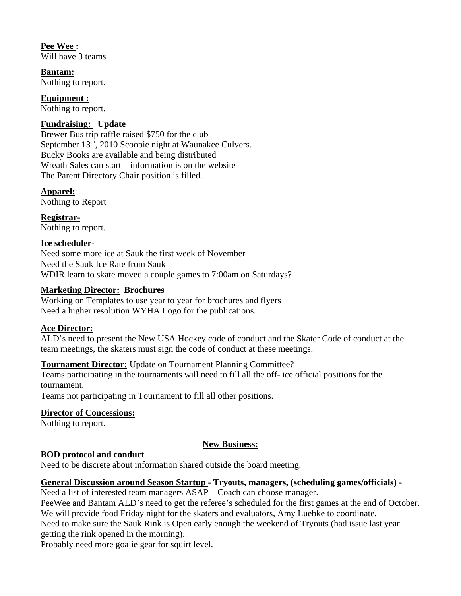**Pee Wee :**  Will have 3 teams

**Bantam:**  Nothing to report.

**Equipment :**  Nothing to report.

## **Fundraising: Update**

Brewer Bus trip raffle raised \$750 for the club September  $13<sup>th</sup>$ , 2010 Scoopie night at Waunakee Culvers. Bucky Books are available and being distributed Wreath Sales can start – information is on the website The Parent Directory Chair position is filled.

**Apparel:**  Nothing to Report

**Registrar-**Nothing to report.

## **Ice scheduler-**

Need some more ice at Sauk the first week of November Need the Sauk Ice Rate from Sauk WDIR learn to skate moved a couple games to 7:00am on Saturdays?

## **Marketing Director: Brochures**

Working on Templates to use year to year for brochures and flyers Need a higher resolution WYHA Logo for the publications.

## **Ace Director:**

ALD's need to present the New USA Hockey code of conduct and the Skater Code of conduct at the team meetings, the skaters must sign the code of conduct at these meetings.

# **Tournament Director:** Update on Tournament Planning Committee?

Teams participating in the tournaments will need to fill all the off- ice official positions for the tournament.

Teams not participating in Tournament to fill all other positions.

## **Director of Concessions:**

Nothing to report.

# **New Business:**

## **BOD protocol and conduct**

Need to be discrete about information shared outside the board meeting.

## **General Discussion around Season Startup - Tryouts, managers, (scheduling games/officials) -**

Need a list of interested team managers ASAP – Coach can choose manager.

PeeWee and Bantam ALD's need to get the referee's scheduled for the first games at the end of October. We will provide food Friday night for the skaters and evaluators, Amy Luebke to coordinate.

Need to make sure the Sauk Rink is Open early enough the weekend of Tryouts (had issue last year getting the rink opened in the morning).

Probably need more goalie gear for squirt level.